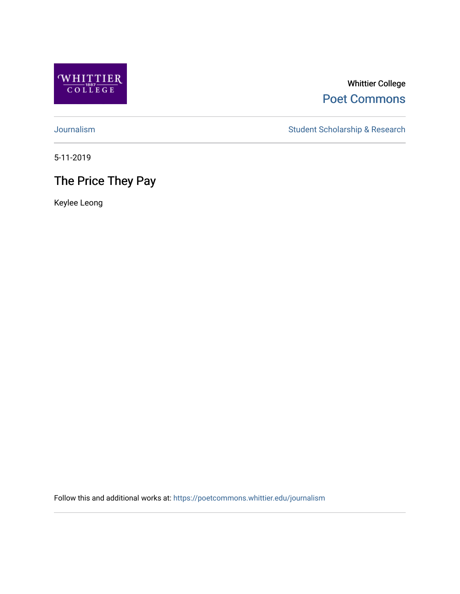

### Whittier College [Poet Commons](https://poetcommons.whittier.edu/)

[Journalism](https://poetcommons.whittier.edu/journalism) Student Scholarship & Research

5-11-2019

### The Price They Pay

Keylee Leong

Follow this and additional works at: [https://poetcommons.whittier.edu/journalism](https://poetcommons.whittier.edu/journalism?utm_source=poetcommons.whittier.edu%2Fjournalism%2F11&utm_medium=PDF&utm_campaign=PDFCoverPages)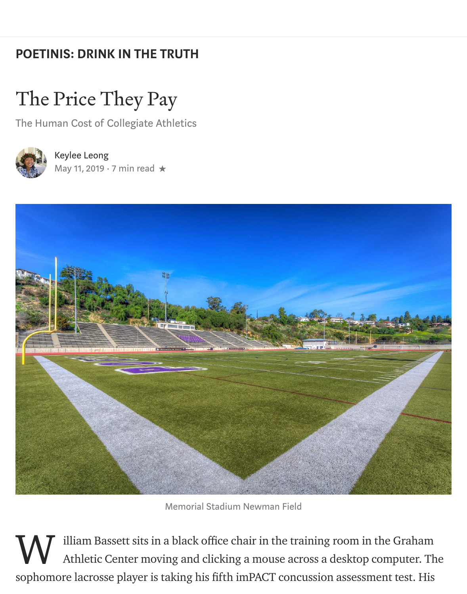# [POETINIS: DRINK IN THE TRUTH](https://medium.com/engl-201?source=post_page-----7330545fd91d----------------------)

# The Price They Pay

The Human Cost of Collegiate Athletics



# [Keylee Leong](https://medium.com/@kleong1?source=post_page-----7330545fd91d----------------------)

[May 11, 2019](https://medium.com/engl-201/the-price-they-pay-7330545fd91d?source=post_page-----7330545fd91d----------------------)  $\cdot$  7 min read  $\star$ 



Memorial Stadium Newman Field

illiam Bassett sits in a black office chair in the training room in the Graham Athletic Center moving and clicking a mouse across a desktop computer. The sophomore lacrosse player is taking his fifth imPACT concussion assessment test. His W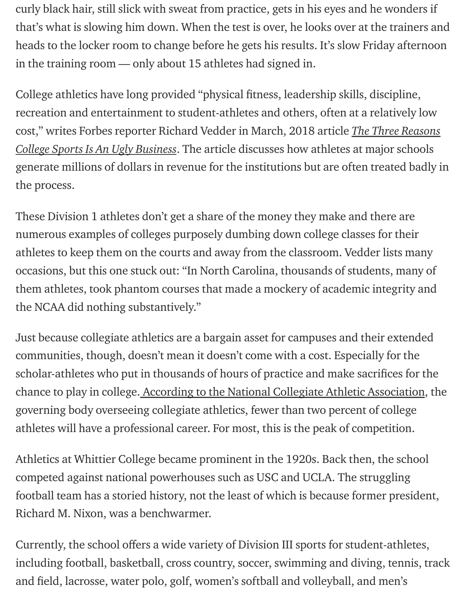curly black hair, still slick with sweat from practice, gets in his eyes and he wonders if that's what is slowing him down. When the test is over, he looks over at the trainers and heads to the locker room to change before he gets his results. It's slow Friday afternoon in the training room — only about 15 athletes had signed in.

College athletics have long provided "physical fitness, leadership skills, discipline, recreation and entertainment to student-athletes and others, often at a relatively low [cost," writes Forbes reporter Richard Vedder in March, 2018 article](https://www.forbes.com/sites/richardvedder/2018/03/14/perpetual-madness-not-just-in-march/#691de2f765bc) *The Three Reasons* College Sports Is An Ugly Business. The article discusses how athletes at major schools generate millions of dollars in revenue for the institutions but are often treated badly in the process.

These Division 1 athletes don't get a share of the money they make and there are numerous examples of colleges purposely dumbing down college classes for their athletes to keep them on the courts and away from the classroom. Vedder lists many occasions, but this one stuck out: "In North Carolina, thousands of students, many of them athletes, took phantom courses that made a mockery of academic integrity and the NCAA did nothing substantively."

Just because collegiate athletics are a bargain asset for campuses and their extended communities, though, doesn't mean it doesn't come with a cost. Especially for the scholar-athletes who put in thousands of hours of practice and make sacrifices for the chance to play in college[. According to the National Collegiate Athletic Association](https://www.ncaa.org/sites/default/files/Recruiting%20Fact%20Sheet%20WEB.pdf), the governing body overseeing collegiate athletics, fewer than two percent of college athletes will have a professional career. For most, this is the peak of competition.

Athletics at Whittier College became prominent in the 1920s. Back then, the school competed against national powerhouses such as USC and UCLA. The struggling football team has a storied history, not the least of which is because former president, Richard M. Nixon, was a benchwarmer.

Currently, the school offers a wide variety of Division III sports for student-athletes, including football, basketball, cross country, soccer, swimming and diving, tennis, track and field, lacrosse, water polo, golf, women's softball and volleyball, and men's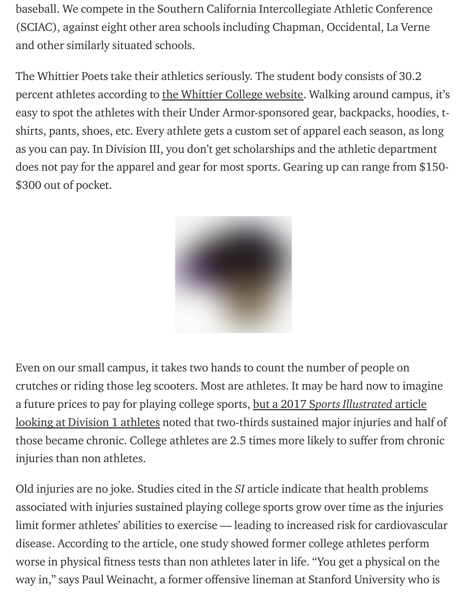baseball. We compete in the Southern California Intercollegiate Athletic Conference (SCIAC), against eight other area schools including Chapman, Occidental, La Verne and other similarly situated schools.

The Whittier Poets take their athletics seriously. The student body consists of 30.2 percent athletes according to [the Whittier College website.](https://www.whittier.edu/about/facts) Walking around campus, it's easy to spot the athletes with their Under Armor-sponsored gear, backpacks, hoodies, tshirts, pants, shoes, etc. Every athlete gets a custom set of apparel each season, as long as you can pay. In Division III, you don't get scholarships and the athletic department does not pay for the apparel and gear for most sports. Gearing up can range from \$150- \$300 out of pocket.



Even on our small campus, it takes two hands to count the number of people on crutches or riding those leg scooters. Most are athletes. It may be hard now to imagine a future prices to pay for playing college sports, but a 2017 Sports Illustrated article [looking at Division 1 athletes noted that two-thirds sustained major injuries and ha](https://www.si.com/edge/2017/10/31/former-college-athletes-chronic-injuries-health-issues)lf of those became chronic. College athletes are 2.5 times more likely to suffer from chronic injuries than non athletes.

Old injuries are no joke. Studies cited in the SI article indicate that health problems associated with injuries sustained playing college sports grow over time as the injuries limit former athletes' abilities to exercise — leading to increased risk for cardiovascular disease. According to the article, one study showed former college athletes perform worse in physical fitness tests than non athletes later in life. "You get a physical on the way in," says Paul Weinacht, a former offensive lineman at Stanford University who is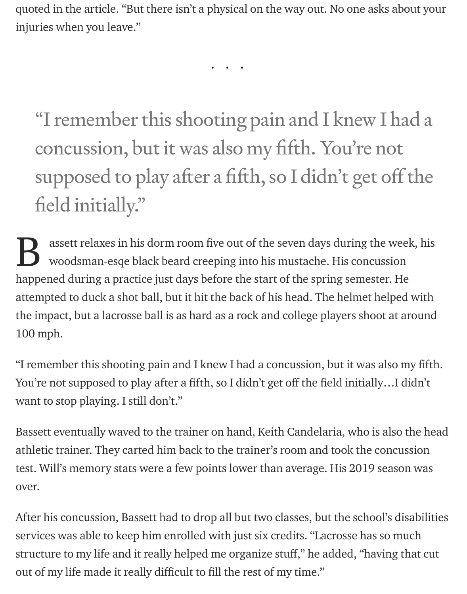quoted in the article. "But there isn't a physical on the way out. No one asks about your injuries when you leave."

...

"I remember this shooting pain and I knew I had a concussion, but it was also my fifth. You're not supposed to play after a fifth, so I didn't get off the field initially."

assett relaxes in his dorm room five out of the seven days during the week, his woodsman-esqe black beard creeping into his mustache. His concussion happened during a practice just days before the start of the spring semester. He attempted to duck a shot ball, but it hit the back of his head. The helmet helped with the impact, but a lacrosse ball is as hard as a rock and college players shoot at around 100 mph. B

"I remember this shooting pain and I knew I had a concussion, but it was also my fifth. You're not supposed to play after a fifth, so I didn't get off the field initially…I didn't want to stop playing. I still don't."

Bassett eventually waved to the trainer on hand, Keith Candelaria, who is also the head athletic trainer. They carted him back to the trainer's room and took the concussion test. Will's memory stats were a few points lower than average. His 2019 season was over.

After his concussion, Bassett had to drop all but two classes, but the school's disabilities services was able to keep him enrolled with just six credits. "Lacrosse has so much structure to my life and it really helped me organize stuff," he added, "having that cut out of my life made it really difficult to fill the rest of my time."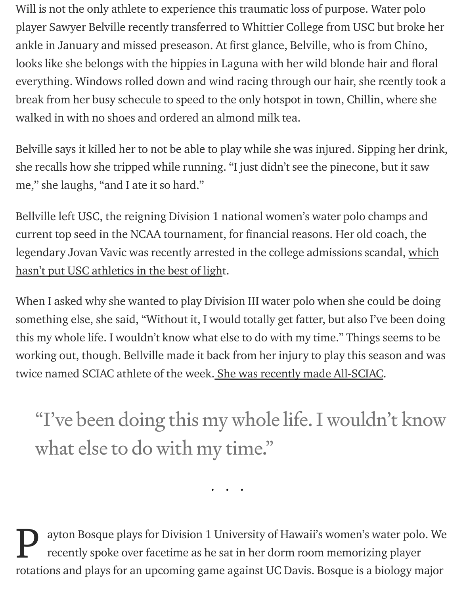Will is not the only athlete to experience this traumatic loss of purpose. Water polo player Sawyer Belville recently transferred to Whittier College from USC but broke her ankle in January and missed preseason. At first glance, Belville, who is from Chino, looks like she belongs with the hippies in Laguna with her wild blonde hair and floral everything. Windows rolled down and wind racing through our hair, she rcently took a break from her busy schecule to speed to the only hotspot in town, Chillin, where she walked in with no shoes and ordered an almond milk tea.

Belville says it killed her to not be able to play while she was injured. Sipping her drink, she recalls how she tripped while running. "I just didn't see the pinecone, but it saw me," she laughs, "and I ate it so hard."

Bellville left USC, the reigning Division 1 national women's water polo champs and current top seed in the NCAA tournament, for financial reasons. Her old coach, the [legendary Jovan Vavic was recently arrested in the college admissions scandal, which](https://www.latimes.com/local/lanow/la-me-college-admissions-scandal-usc-retools-20190426-story.html) hasn't put USC athletics in the best of light.

When I asked why she wanted to play Division III water polo when she could be doing something else, she said, "Without it, I would totally get fatter, but also I've been doing this my whole life. I wouldn't know what else to do with my time." Things seems to be working out, though. Bellville made it back from her injury to play this season and was twice named SCIAC athlete of the week[. She was recently made All-SCIAC.](https://www.wcpoets.com/sports/wwaterpolo/2018-19/releases/20190426ivvfqi)

"I've been doing this my whole life. I wouldn't know what else to do with my time."

ayton Bosque plays for Division 1 University of Hawaii's women's water polo. We recently spoke over facetime as he sat in her dorm room memorizing player rotations and plays for an upcoming game against UC Davis. Bosque is a biology major P

...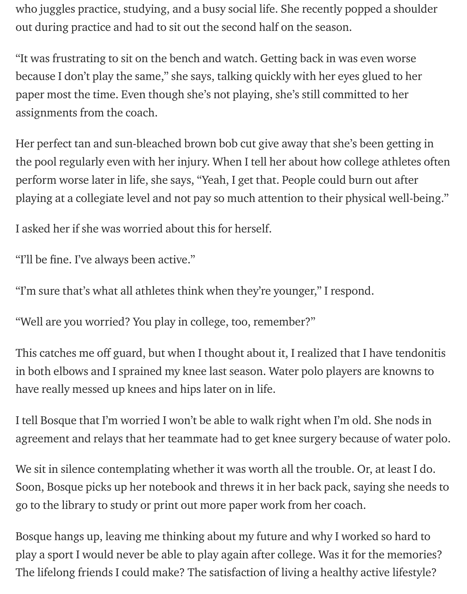who juggles practice, studying, and a busy social life. She recently popped a shoulder out during practice and had to sit out the second half on the season.

"It was frustrating to sit on the bench and watch. Getting back in was even worse because I don't play the same," she says, talking quickly with her eyes glued to her paper most the time. Even though she's not playing, she's still committed to her assignments from the coach.

Her perfect tan and sun-bleached brown bob cut give away that she's been getting in the pool regularly even with her injury. When I tell her about how college athletes often perform worse later in life, she says, "Yeah, I get that. People could burn out after playing at a collegiate level and not pay so much attention to their physical well-being."

I asked her if she was worried about this for herself.

"I'll be fine. I've always been active."

"I'm sure that's what all athletes think when they're younger," I respond.

"Well are you worried? You play in college, too, remember?"

This catches me off guard, but when I thought about it, I realized that I have tendonitis in both elbows and I sprained my knee last season. Water polo players are knowns to have really messed up knees and hips later on in life.

I tell Bosque that I'm worried I won't be able to walk right when I'm old. She nods in agreement and relays that her teammate had to get knee surgery because of water polo.

We sit in silence contemplating whether it was worth all the trouble. Or, at least I do. Soon, Bosque picks up her notebook and threws it in her back pack, saying she needs to go to the library to study or print out more paper work from her coach.

Bosque hangs up, leaving me thinking about my future and why I worked so hard to play a sport I would never be able to play again after college. Was it for the memories? The lifelong friends I could make? The satisfaction of living a healthy active lifestyle?